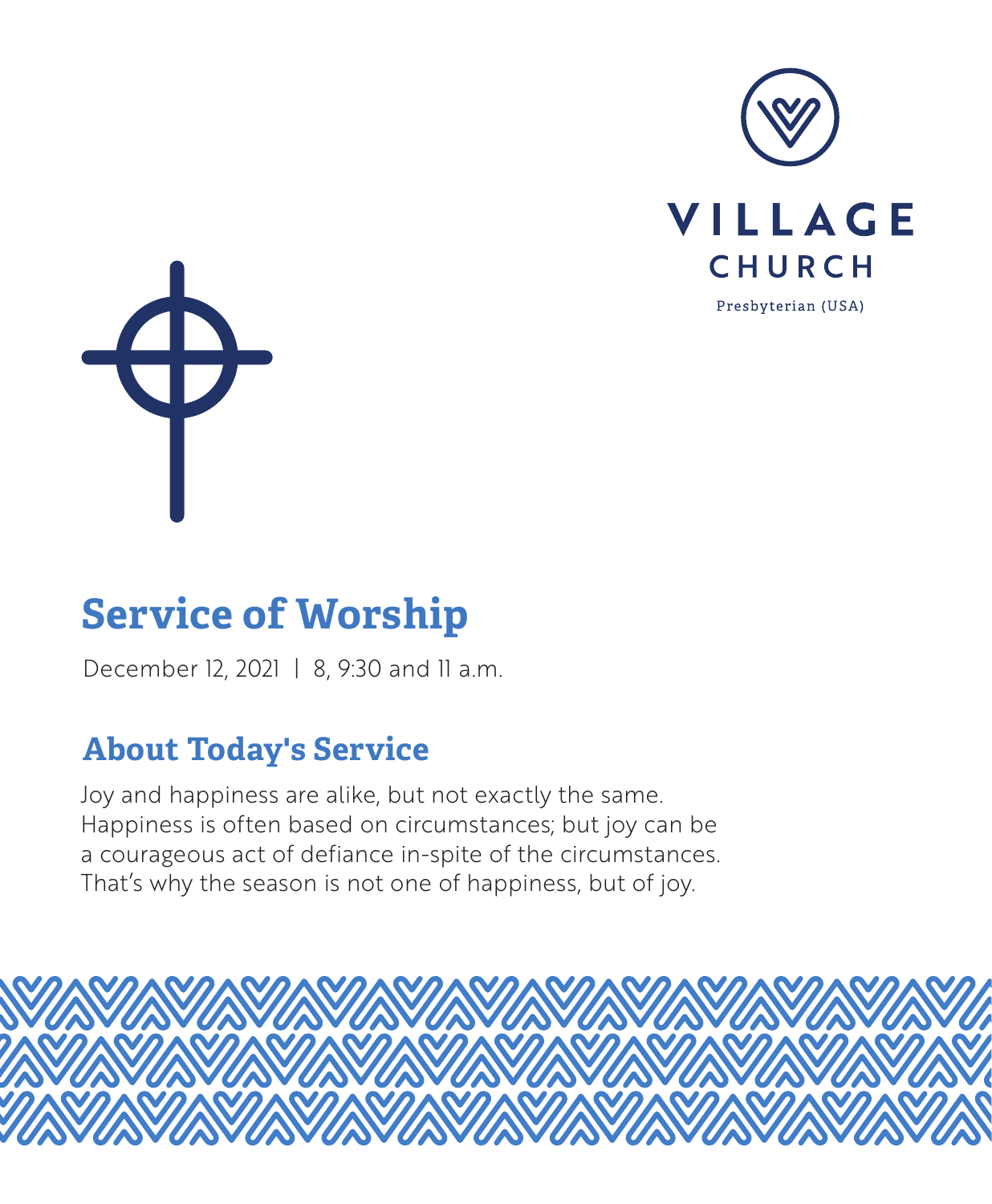



# **Service of Worship**

December 12, 2021 | 8, 9:30 and 11 a.m.

## **About Today's Service**

Joy and happiness are alike, but not exactly the same. Happiness is often based on circumstances; but joy can be a courageous act of defiance in-spite of the circumstances. That's why the season is not one of happiness, but of joy.

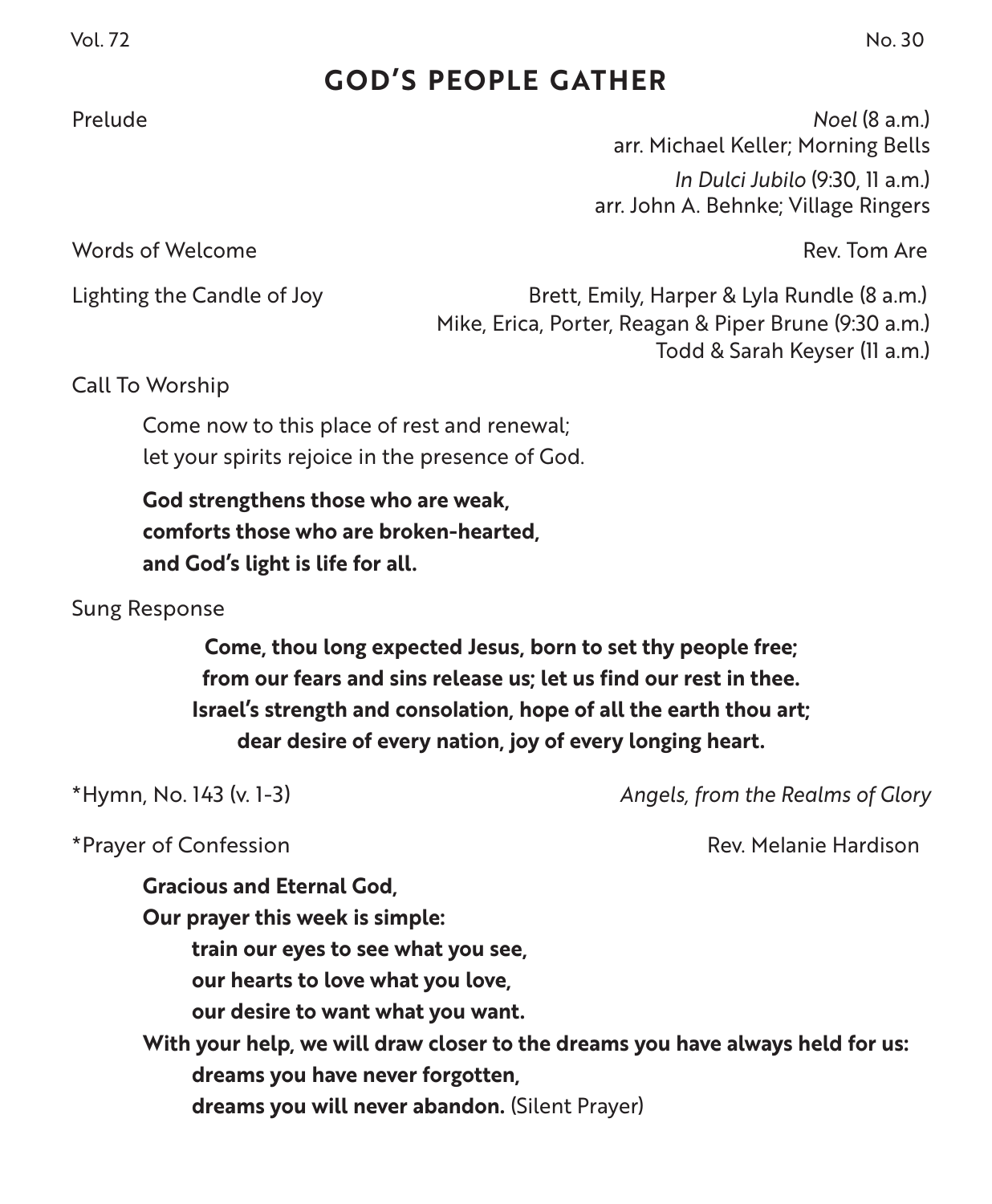## **GOD'S PEOPLE GATHER**

Prelude *Noel* (8 a.m.) arr. Michael Keller; Morning Bells *In Dulci Jubilo* (9:30, 11 a.m.) arr. John A. Behnke; Village Ringers

Words of Welcome Rev. Tom Are

Lighting the Candle of Joy **Brett, Emily, Harper & Lyla Rundle (8 a.m.)** Mike, Erica, Porter, Reagan & Piper Brune (9:30 a.m.) Todd & Sarah Keyser (11 a.m.)

Call To Worship

Come now to this place of rest and renewal; let your spirits rejoice in the presence of God.

**God strengthens those who are weak, comforts those who are broken-hearted, and God's light is life for all.**

Sung Response

**Come, thou long expected Jesus, born to set thy people free; from our fears and sins release us; let us find our rest in thee. Israel's strength and consolation, hope of all the earth thou art; dear desire of every nation, joy of every longing heart.**

\*Hymn, No. 143 (v. 1-3) *Angels, from the Realms of Glory*

\*Prayer of Confession **Rev. According to the Confession** Rev. Melanie Hardison

**Gracious and Eternal God, Our prayer this week is simple: train our eyes to see what you see, our hearts to love what you love, our desire to want what you want. With your help, we will draw closer to the dreams you have always held for us: dreams you have never forgotten, dreams you will never abandon.** (Silent Prayer)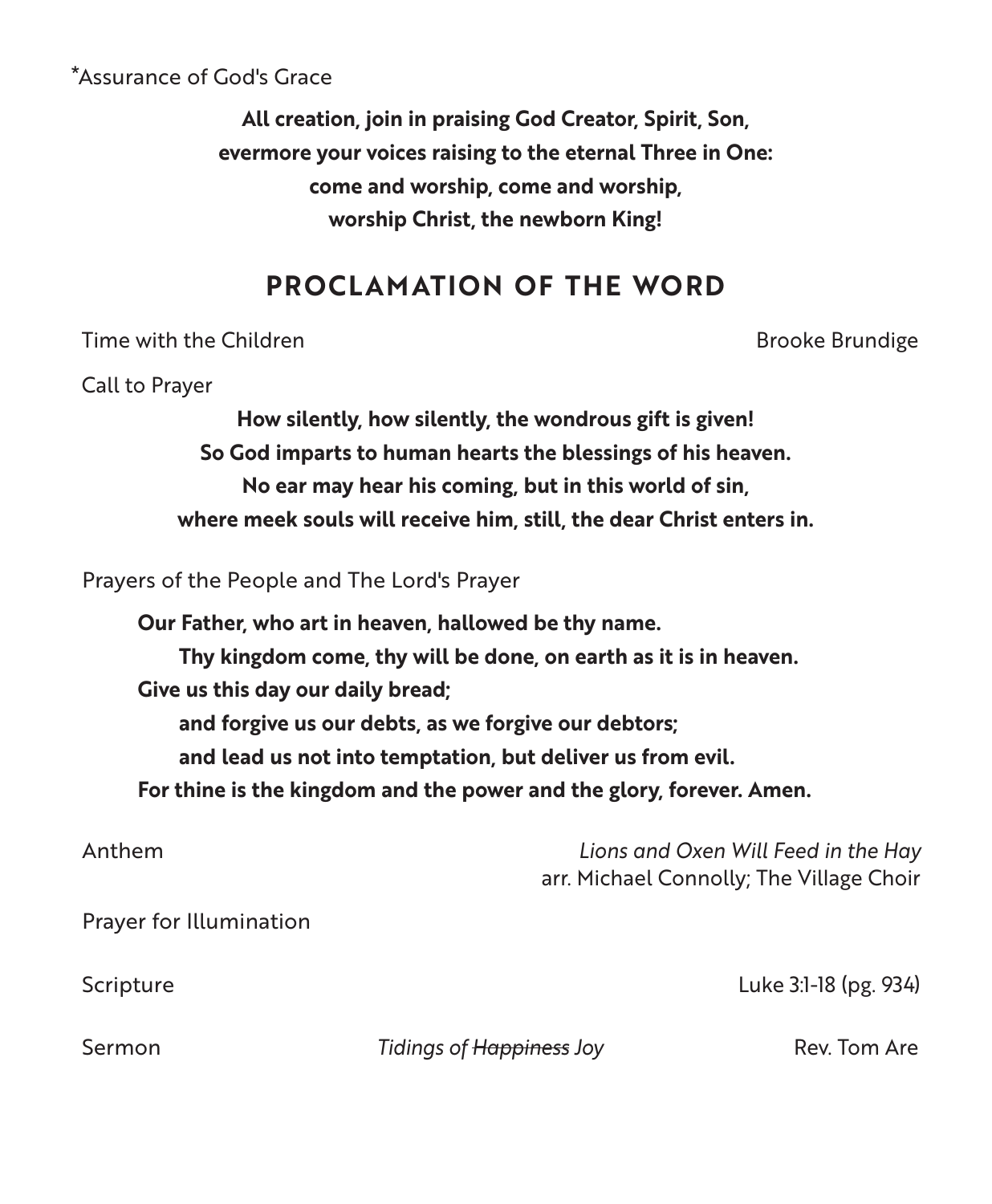#### \*Assurance of God's Grace

**All creation, join in praising God Creator, Spirit, Son, evermore your voices raising to the eternal Three in One: come and worship, come and worship, worship Christ, the newborn King!**

## **PROCLAMATION OF THE WORD**

Time with the Children Brooke Brundige Brooke Brundige

Call to Prayer

**How silently, how silently, the wondrous gift is given! So God imparts to human hearts the blessings of his heaven. No ear may hear his coming, but in this world of sin, where meek souls will receive him, still, the dear Christ enters in.**

Prayers of the People and The Lord's Prayer

**Our Father, who art in heaven, hallowed be thy name. Thy kingdom come, thy will be done, on earth as it is in heaven. Give us this day our daily bread; and forgive us our debts, as we forgive our debtors; and lead us not into temptation, but deliver us from evil. For thine is the kingdom and the power and the glory, forever. Amen.** Anthem *Lions and Oxen Will Feed in the Hay*

| AIIIIII                 | LIVIIS QUIQ OXEN WILL LEEQ IN LITE HOLY<br>arr. Michael Connolly; The Village Choir |                       |
|-------------------------|-------------------------------------------------------------------------------------|-----------------------|
| Prayer for Illumination |                                                                                     |                       |
| Scripture               |                                                                                     | Luke 3:1-18 (pg. 934) |
| Sermon                  | Tidings of Happiness Joy                                                            | Rev. Tom Are          |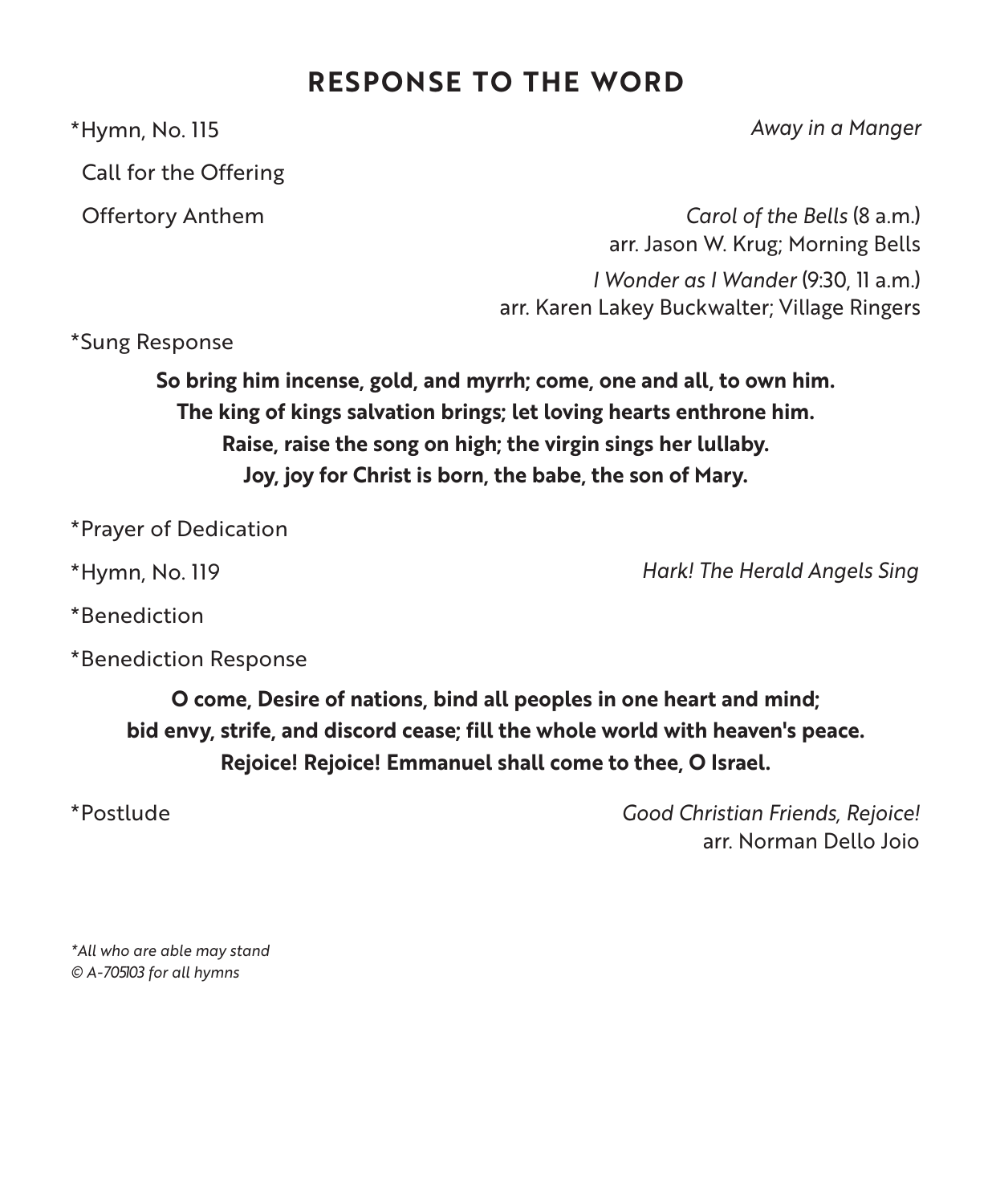## **RESPONSE TO THE WORD**

Call for the Offering

\*Hymn, No. 115 *Away in a Manger*

 Offertory Anthem *Carol of the Bells* (8 a.m.) arr. Jason W. Krug; Morning Bells *I Wonder as I Wander* (9:30, 11 a.m.) arr. Karen Lakey Buckwalter; Village Ringers

\*Sung Response

**So bring him incense, gold, and myrrh; come, one and all, to own him. The king of kings salvation brings; let loving hearts enthrone him. Raise, raise the song on high; the virgin sings her lullaby. Joy, joy for Christ is born, the babe, the son of Mary.**

\*Prayer of Dedication

\*Hymn, No. 119 *Hark! The Herald Angels Sing*

\*Benediction

\*Benediction Response

**O come, Desire of nations, bind all peoples in one heart and mind; bid envy, strife, and discord cease; fill the whole world with heaven's peace. Rejoice! Rejoice! Emmanuel shall come to thee, O Israel.**

\*Postlude *Good Christian Friends, Rejoice!* arr. Norman Dello Joio

*\*All who are able may stand © A-705103 for all hymns*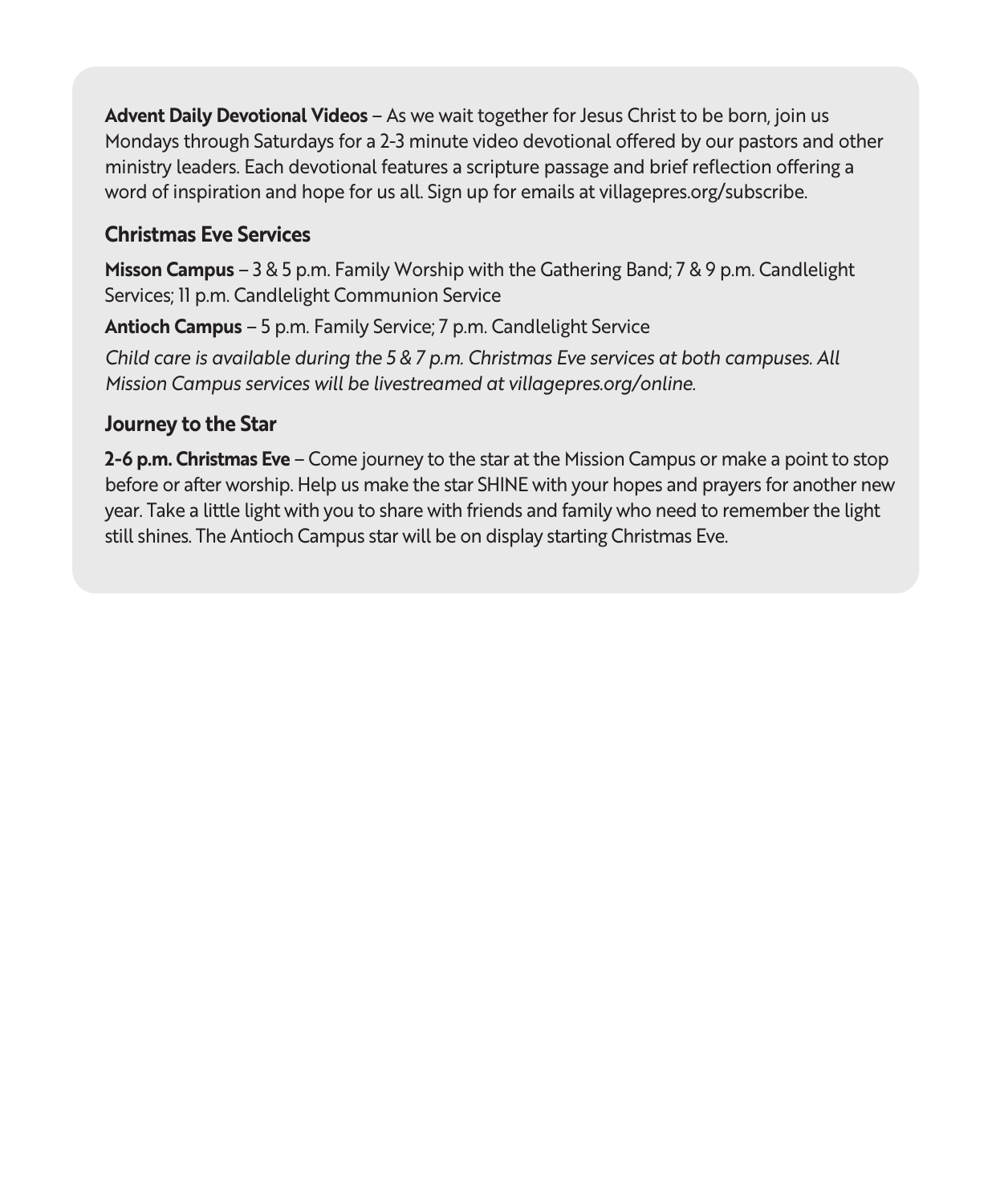**Advent Daily Devotional Videos** – As we wait together for Jesus Christ to be born, join us Mondays through Saturdays for a 2-3 minute video devotional offered by our pastors and other ministry leaders. Each devotional features a scripture passage and brief reflection offering a word of inspiration and hope for us all. Sign up for emails at villagepres.org/subscribe.

#### **Christmas Eve Services**

**Misson Campus** – 3 & 5 p.m. Family Worship with the Gathering Band; 7 & 9 p.m. Candlelight Services; 11 p.m. Candlelight Communion Service

**Antioch Campus** – 5 p.m. Family Service; 7 p.m. Candlelight Service

*Child care is available during the 5 & 7 p.m. Christmas Eve services at both campuses. All Mission Campus services will be livestreamed at villagepres.org/online.*

#### **Journey to the Star**

**2-6 p.m. Christmas Eve** – Come journey to the star at the Mission Campus or make a point to stop before or after worship. Help us make the star SHINE with your hopes and prayers for another new year. Take a little light with you to share with friends and family who need to remember the light still shines. The Antioch Campus star will be on display starting Christmas Eve.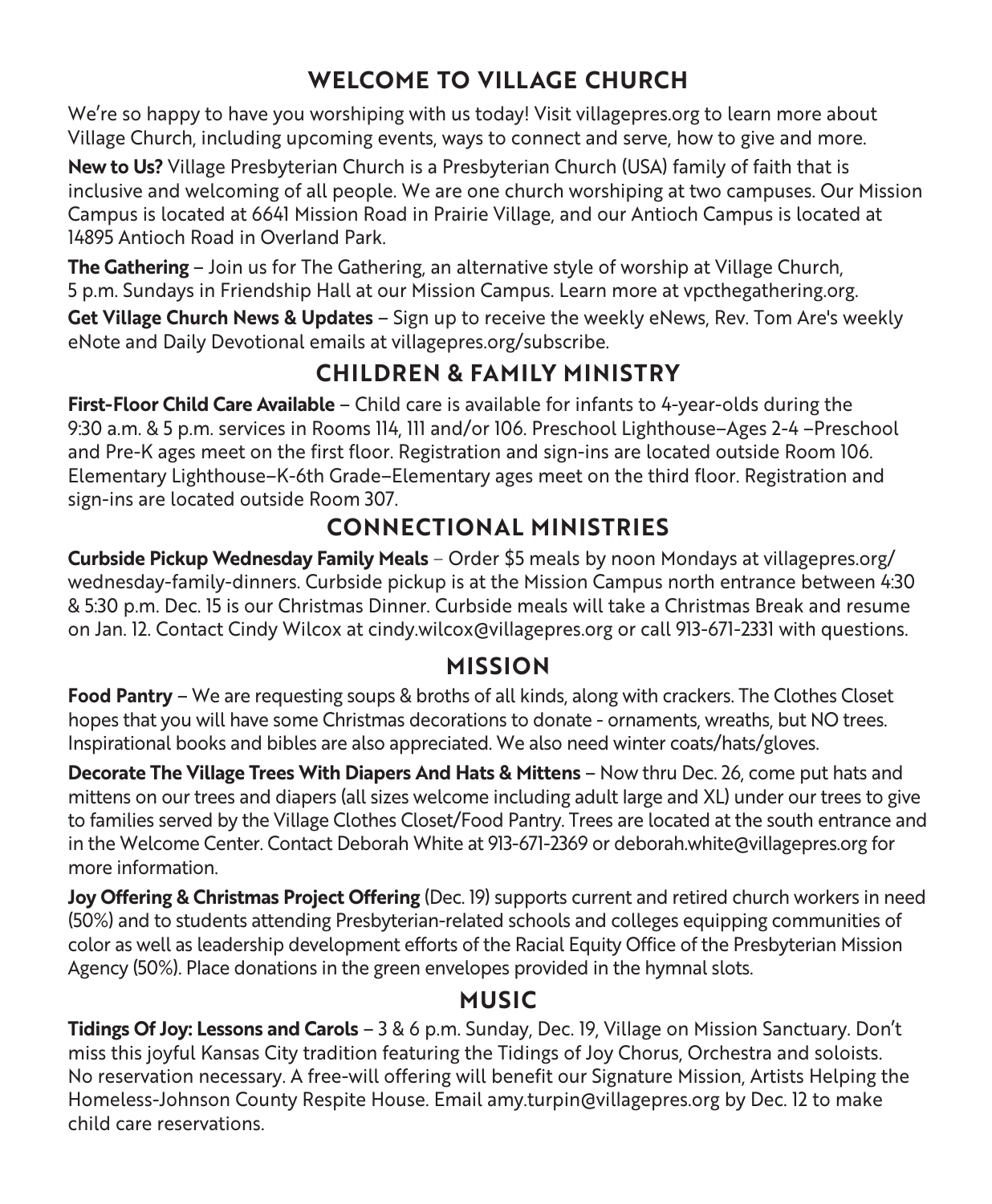## **WELCOME TO VILLAGE CHURCH**

We're so happy to have you worshiping with us today! Visit villagepres.org to learn more about Village Church, including upcoming events, ways to connect and serve, how to give and more.

**New to Us?** Village Presbyterian Church is a Presbyterian Church (USA) family of faith that is inclusive and welcoming of all people. We are one church worshiping at two campuses. Our Mission Campus is located at 6641 Mission Road in Prairie Village, and our Antioch Campus is located at 14895 Antioch Road in Overland Park.

**The Gathering** – Join us for The Gathering, an alternative style of worship at Village Church, 5 p.m. Sundays in Friendship Hall at our Mission Campus. Learn more at vpcthegathering.org. **Get Village Church News & Updates** – Sign up to receive the weekly eNews, Rev. Tom Are's weekly eNote and Daily Devotional emails at villagepres.org/subscribe.

## **CHILDREN & FAMILY MINISTRY**

**First-Floor Child Care Available** – Child care is available for infants to 4-year-olds during the 9:30 a.m. & 5 p.m. services in Rooms 114, 111 and/or 106. Preschool Lighthouse–Ages 2-4 –Preschool and Pre-K ages meet on the first floor. Registration and sign-ins are located outside Room 106. Elementary Lighthouse–K-6th Grade–Elementary ages meet on the third floor. Registration and sign-ins are located outside Room 307.

## **CONNECTIONAL MINISTRIES**

**Curbside Pickup Wednesday Family Meals** – Order \$5 meals by noon Mondays at villagepres.org/ wednesday-family-dinners. Curbside pickup is at the Mission Campus north entrance between 4:30 & 5:30 p.m. Dec. 15 is our Christmas Dinner. Curbside meals will take a Christmas Break and resume on Jan. 12. Contact Cindy Wilcox at cindy.wilcox@villagepres.org or call 913-671-2331 with questions.

#### **MISSION**

**Food Pantry** – We are requesting soups & broths of all kinds, along with crackers. The Clothes Closet hopes that you will have some Christmas decorations to donate - ornaments, wreaths, but NO trees. Inspirational books and bibles are also appreciated. We also need winter coats/hats/gloves.

**Decorate The Village Trees With Diapers And Hats & Mittens** – Now thru Dec. 26, come put hats and mittens on our trees and diapers (all sizes welcome including adult large and XL) under our trees to give to families served by the Village Clothes Closet/Food Pantry. Trees are located at the south entrance and in the Welcome Center. Contact Deborah White at 913-671-2369 or deborah.white@villagepres.org for more information.

**Joy Offering & Christmas Project Offering** (Dec. 19) supports current and retired church workers in need (50%) and to students attending Presbyterian-related schools and colleges equipping communities of color as well as leadership development efforts of the Racial Equity Office of the Presbyterian Mission Agency (50%). Place donations in the green envelopes provided in the hymnal slots.

#### **MUSIC**

**Tidings Of Joy: Lessons and Carols** – 3 & 6 p.m. Sunday, Dec. 19, Village on Mission Sanctuary. Don't miss this joyful Kansas City tradition featuring the Tidings of Joy Chorus, Orchestra and soloists. No reservation necessary. A free-will offering will benefit our Signature Mission, Artists Helping the Homeless-Johnson County Respite House. Email amy.turpin@villagepres.org by Dec. 12 to make child care reservations.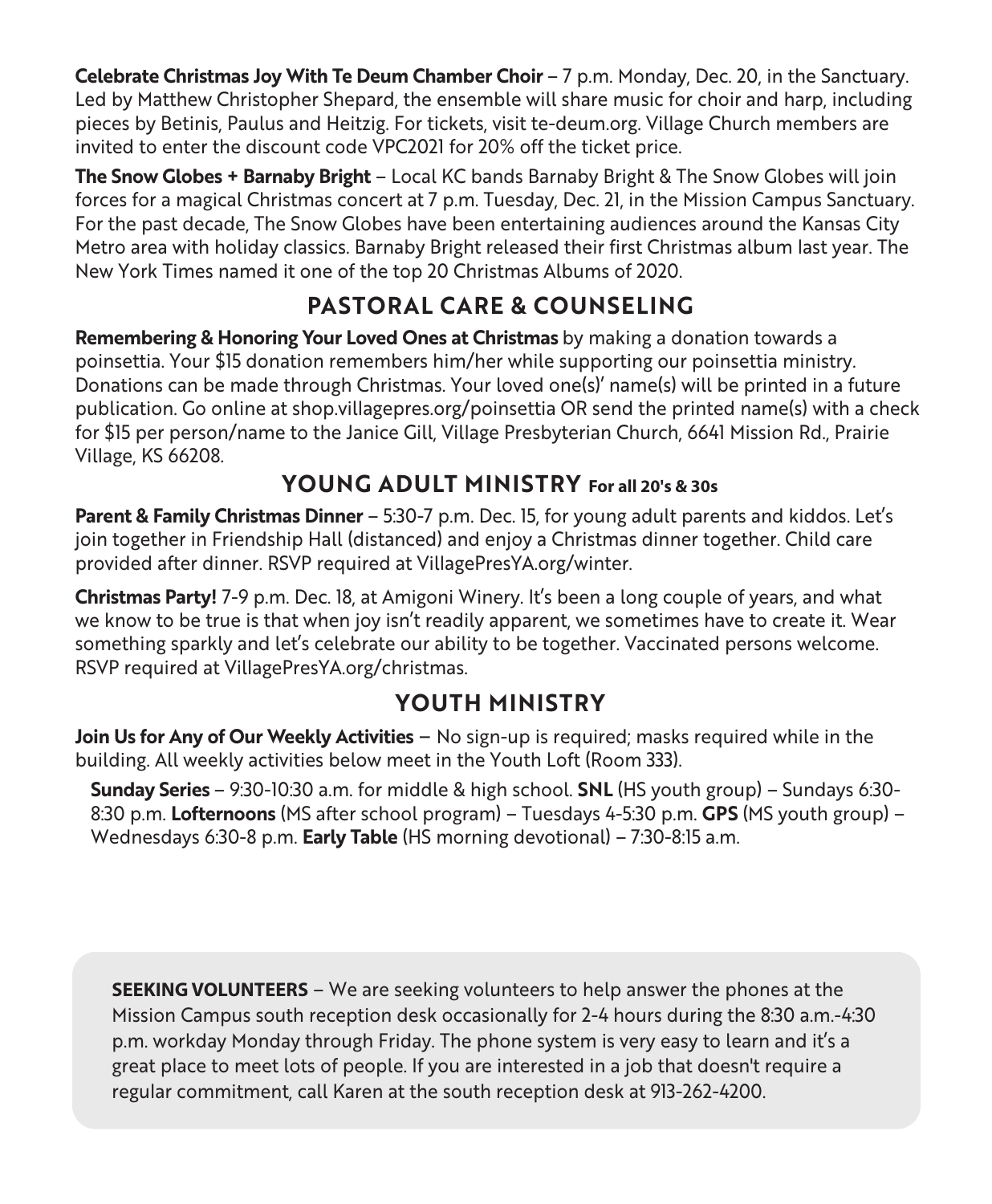**Celebrate Christmas Joy With Te Deum Chamber Choir** – 7 p.m. Monday, Dec. 20, in the Sanctuary. Led by Matthew Christopher Shepard, the ensemble will share music for choir and harp, including pieces by Betinis, Paulus and Heitzig. For tickets, visit te-deum.org. Village Church members are invited to enter the discount code VPC2021 for 20% off the ticket price.

**The Snow Globes + Barnaby Bright** – Local KC bands Barnaby Bright & The Snow Globes will join forces for a magical Christmas concert at 7 p.m. Tuesday, Dec. 21, in the Mission Campus Sanctuary. For the past decade, The Snow Globes have been entertaining audiences around the Kansas City Metro area with holiday classics. Barnaby Bright released their first Christmas album last year. The New York Times named it one of the top 20 Christmas Albums of 2020.

## **PASTORAL CARE & COUNSELING**

**Remembering & Honoring Your Loved Ones at Christmas** by making a donation towards a poinsettia. Your \$15 donation remembers him/her while supporting our poinsettia ministry. Donations can be made through Christmas. Your loved one(s)' name(s) will be printed in a future publication. Go online at shop.villagepres.org/poinsettia OR send the printed name(s) with a check for \$15 per person/name to the Janice Gill, Village Presbyterian Church, 6641 Mission Rd., Prairie Village, KS 66208.

#### **YOUNG ADULT MINISTRY For all 20's & 30s**

**Parent & Family Christmas Dinner** – 5:30-7 p.m. Dec. 15, for young adult parents and kiddos. Let's join together in Friendship Hall (distanced) and enjoy a Christmas dinner together. Child care provided after dinner. RSVP required at VillagePresYA.org/winter.

**Christmas Party!** 7-9 p.m. Dec. 18, at Amigoni Winery. It's been a long couple of years, and what we know to be true is that when joy isn't readily apparent, we sometimes have to create it. Wear something sparkly and let's celebrate our ability to be together. Vaccinated persons welcome. RSVP required at VillagePresYA.org/christmas.

### **YOUTH MINISTRY**

**Join Us for Any of Our Weekly Activities** – No sign-up is required; masks required while in the building. All weekly activities below meet in the Youth Loft (Room 333).

**Sunday Series** – 9:30-10:30 a.m. for middle & high school. **SNL** (HS youth group) – Sundays 6:30- 8:30 p.m. **Lofternoons** (MS after school program) – Tuesdays 4-5:30 p.m. **GPS** (MS youth group) – Wednesdays 6:30-8 p.m. **Early Table** (HS morning devotional) – 7:30-8:15 a.m.

**SEEKING VOLUNTEERS** – We are seeking volunteers to help answer the phones at the Mission Campus south reception desk occasionally for 2-4 hours during the 8:30 a.m.-4:30 p.m. workday Monday through Friday. The phone system is very easy to learn and it's a great place to meet lots of people. If you are interested in a job that doesn't require a regular commitment, call Karen at the south reception desk at 913-262-4200.